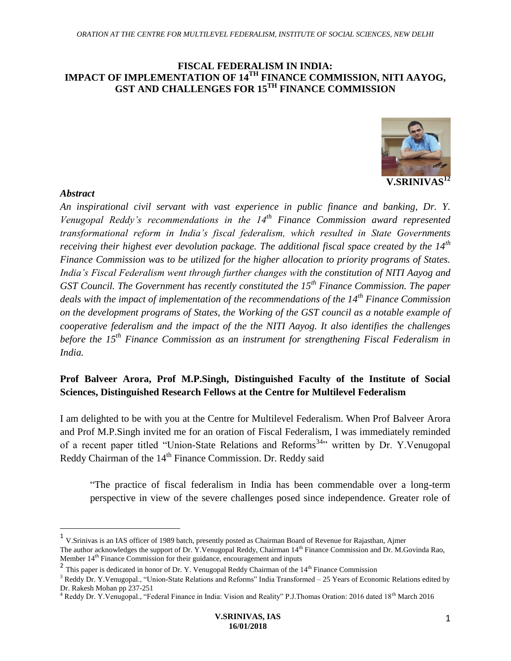#### **FISCAL FEDERALISM IN INDIA: IMPACT OF IMPLEMENTATION OF 14TH FINANCE COMMISSION, NITI AAYOG, GST AND CHALLENGES FOR 15TH FINANCE COMMISSION**



#### *Abstract*

 $\overline{a}$ 

*An inspirational civil servant with vast experience in public finance and banking, Dr. Y. Venugopal Reddy's recommendations in the 14th Finance Commission award represented transformational reform in India's fiscal federalism, which resulted in State Governments receiving their highest ever devolution package. The additional fiscal space created by the 14th Finance Commission was to be utilized for the higher allocation to priority programs of States. India's Fiscal Federalism went through further changes with the constitution of NITI Aayog and GST Council. The Government has recently constituted the 15th Finance Commission. The paper deals with the impact of implementation of the recommendations of the 14th Finance Commission on the development programs of States, the Working of the GST council as a notable example of cooperative federalism and the impact of the the NITI Aayog. It also identifies the challenges before the 15th Finance Commission as an instrument for strengthening Fiscal Federalism in India.*

## **Prof Balveer Arora, Prof M.P.Singh, Distinguished Faculty of the Institute of Social Sciences, Distinguished Research Fellows at the Centre for Multilevel Federalism**

I am delighted to be with you at the Centre for Multilevel Federalism. When Prof Balveer Arora and Prof M.P.Singh invited me for an oration of Fiscal Federalism, I was immediately reminded of a recent paper titled "Union-State Relations and Reforms<sup>34</sup>" written by Dr. Y.Venugopal Reddy Chairman of the 14<sup>th</sup> Finance Commission. Dr. Reddy said

"The practice of fiscal federalism in India has been commendable over a long-term perspective in view of the severe challenges posed since independence. Greater role of

<sup>&</sup>lt;sup>1</sup> V.Srinivas is an IAS officer of 1989 batch, presently posted as Chairman Board of Revenue for Rajasthan, Ajmer

The author acknowledges the support of Dr. Y.Venugopal Reddy, Chairman 14<sup>th</sup> Finance Commission and Dr. M.Govinda Rao, Member  $14<sup>th</sup>$  Finance Commission for their guidance, encouragement and inputs

<sup>&</sup>lt;sup>2</sup> This paper is dedicated in honor of Dr. Y. Venugopal Reddy Chairman of the  $14<sup>th</sup>$  Finance Commission

<sup>&</sup>lt;sup>3</sup> Reddy Dr. Y. Venugopal., "Union-State Relations and Reforms" India Transformed – 25 Years of Economic Relations edited by Dr. Rakesh Mohan pp 237-251

<sup>&</sup>lt;sup>4</sup> Reddy Dr. Y. Venugopal., "Federal Finance in India: Vision and Reality" P.J. Thomas Oration: 2016 dated 18<sup>th</sup> March 2016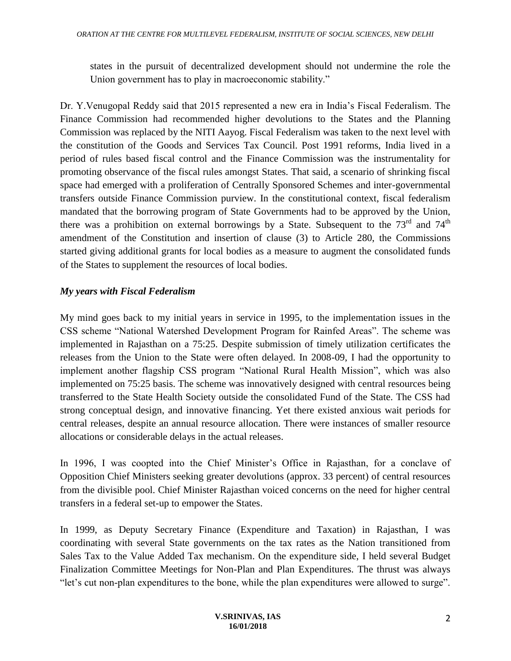states in the pursuit of decentralized development should not undermine the role the Union government has to play in macroeconomic stability."

Dr. Y.Venugopal Reddy said that 2015 represented a new era in India's Fiscal Federalism. The Finance Commission had recommended higher devolutions to the States and the Planning Commission was replaced by the NITI Aayog. Fiscal Federalism was taken to the next level with the constitution of the Goods and Services Tax Council. Post 1991 reforms, India lived in a period of rules based fiscal control and the Finance Commission was the instrumentality for promoting observance of the fiscal rules amongst States. That said, a scenario of shrinking fiscal space had emerged with a proliferation of Centrally Sponsored Schemes and inter-governmental transfers outside Finance Commission purview. In the constitutional context, fiscal federalism mandated that the borrowing program of State Governments had to be approved by the Union, there was a prohibition on external borrowings by a State. Subsequent to the  $73<sup>rd</sup>$  and  $74<sup>th</sup>$ amendment of the Constitution and insertion of clause (3) to Article 280, the Commissions started giving additional grants for local bodies as a measure to augment the consolidated funds of the States to supplement the resources of local bodies.

### *My years with Fiscal Federalism*

My mind goes back to my initial years in service in 1995, to the implementation issues in the CSS scheme "National Watershed Development Program for Rainfed Areas". The scheme was implemented in Rajasthan on a 75:25. Despite submission of timely utilization certificates the releases from the Union to the State were often delayed. In 2008-09, I had the opportunity to implement another flagship CSS program "National Rural Health Mission", which was also implemented on 75:25 basis. The scheme was innovatively designed with central resources being transferred to the State Health Society outside the consolidated Fund of the State. The CSS had strong conceptual design, and innovative financing. Yet there existed anxious wait periods for central releases, despite an annual resource allocation. There were instances of smaller resource allocations or considerable delays in the actual releases.

In 1996, I was coopted into the Chief Minister's Office in Rajasthan, for a conclave of Opposition Chief Ministers seeking greater devolutions (approx. 33 percent) of central resources from the divisible pool. Chief Minister Rajasthan voiced concerns on the need for higher central transfers in a federal set-up to empower the States.

In 1999, as Deputy Secretary Finance (Expenditure and Taxation) in Rajasthan, I was coordinating with several State governments on the tax rates as the Nation transitioned from Sales Tax to the Value Added Tax mechanism. On the expenditure side, I held several Budget Finalization Committee Meetings for Non-Plan and Plan Expenditures. The thrust was always "let's cut non-plan expenditures to the bone, while the plan expenditures were allowed to surge".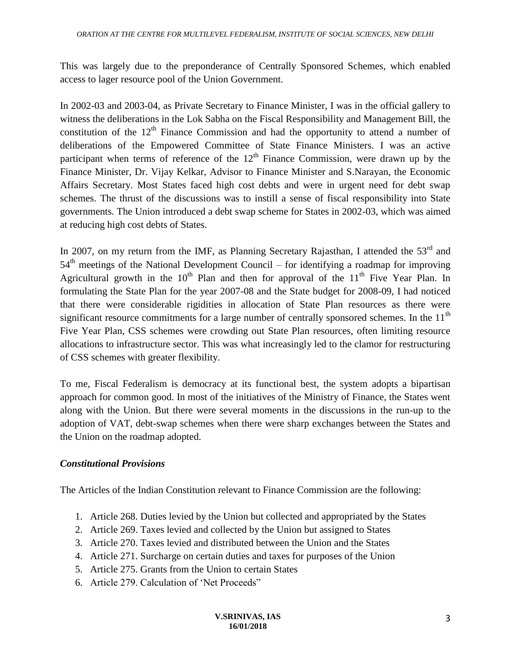This was largely due to the preponderance of Centrally Sponsored Schemes, which enabled access to lager resource pool of the Union Government.

In 2002-03 and 2003-04, as Private Secretary to Finance Minister, I was in the official gallery to witness the deliberations in the Lok Sabha on the Fiscal Responsibility and Management Bill, the constitution of the  $12<sup>th</sup>$  Finance Commission and had the opportunity to attend a number of deliberations of the Empowered Committee of State Finance Ministers. I was an active participant when terms of reference of the  $12<sup>th</sup>$  Finance Commission, were drawn up by the Finance Minister, Dr. Vijay Kelkar, Advisor to Finance Minister and S.Narayan, the Economic Affairs Secretary. Most States faced high cost debts and were in urgent need for debt swap schemes. The thrust of the discussions was to instill a sense of fiscal responsibility into State governments. The Union introduced a debt swap scheme for States in 2002-03, which was aimed at reducing high cost debts of States.

In 2007, on my return from the IMF, as Planning Secretary Rajasthan, I attended the 53<sup>rd</sup> and  $54<sup>th</sup>$  meetings of the National Development Council – for identifying a roadmap for improving Agricultural growth in the  $10<sup>th</sup>$  Plan and then for approval of the  $11<sup>th</sup>$  Five Year Plan. In formulating the State Plan for the year 2007-08 and the State budget for 2008-09, I had noticed that there were considerable rigidities in allocation of State Plan resources as there were significant resource commitments for a large number of centrally sponsored schemes. In the 11<sup>th</sup> Five Year Plan, CSS schemes were crowding out State Plan resources, often limiting resource allocations to infrastructure sector. This was what increasingly led to the clamor for restructuring of CSS schemes with greater flexibility.

To me, Fiscal Federalism is democracy at its functional best, the system adopts a bipartisan approach for common good. In most of the initiatives of the Ministry of Finance, the States went along with the Union. But there were several moments in the discussions in the run-up to the adoption of VAT, debt-swap schemes when there were sharp exchanges between the States and the Union on the roadmap adopted.

#### *Constitutional Provisions*

The Articles of the Indian Constitution relevant to Finance Commission are the following:

- 1. Article 268. Duties levied by the Union but collected and appropriated by the States
- 2. Article 269. Taxes levied and collected by the Union but assigned to States
- 3. Article 270. Taxes levied and distributed between the Union and the States
- 4. Article 271. Surcharge on certain duties and taxes for purposes of the Union
- 5. Article 275. Grants from the Union to certain States
- 6. Article 279. Calculation of 'Net Proceeds"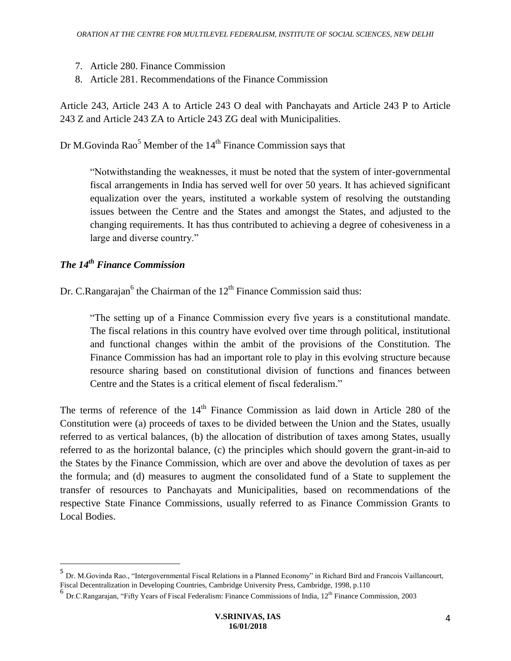- 7. Article 280. Finance Commission
- 8. Article 281. Recommendations of the Finance Commission

Article 243, Article 243 A to Article 243 O deal with Panchayats and Article 243 P to Article 243 Z and Article 243 ZA to Article 243 ZG deal with Municipalities.

Dr M.Govinda Rao<sup>5</sup> Member of the 14<sup>th</sup> Finance Commission says that

"Notwithstanding the weaknesses, it must be noted that the system of inter-governmental fiscal arrangements in India has served well for over 50 years. It has achieved significant equalization over the years, instituted a workable system of resolving the outstanding issues between the Centre and the States and amongst the States, and adjusted to the changing requirements. It has thus contributed to achieving a degree of cohesiveness in a large and diverse country."

## *The 14th Finance Commission*

 $\overline{a}$ 

Dr. C.Rangarajan<sup>6</sup> the Chairman of the  $12<sup>th</sup>$  Finance Commission said thus:

"The setting up of a Finance Commission every five years is a constitutional mandate. The fiscal relations in this country have evolved over time through political, institutional and functional changes within the ambit of the provisions of the Constitution. The Finance Commission has had an important role to play in this evolving structure because resource sharing based on constitutional division of functions and finances between Centre and the States is a critical element of fiscal federalism."

The terms of reference of the 14<sup>th</sup> Finance Commission as laid down in Article 280 of the Constitution were (a) proceeds of taxes to be divided between the Union and the States, usually referred to as vertical balances, (b) the allocation of distribution of taxes among States, usually referred to as the horizontal balance, (c) the principles which should govern the grant-in-aid to the States by the Finance Commission, which are over and above the devolution of taxes as per the formula; and (d) measures to augment the consolidated fund of a State to supplement the transfer of resources to Panchayats and Municipalities, based on recommendations of the respective State Finance Commissions, usually referred to as Finance Commission Grants to Local Bodies.

<sup>&</sup>lt;sup>5</sup> Dr. M.Govinda Rao., "Intergovernmental Fiscal Relations in a Planned Economy" in Richard Bird and Francois Vaillancourt, Fiscal Decentralization in Developing Countries, Cambridge University Press, Cambridge, 1998, p.110

<sup>&</sup>lt;sup>6</sup> Dr.C.Rangarajan, "Fifty Years of Fiscal Federalism: Finance Commissions of India, 12<sup>th</sup> Finance Commission, 2003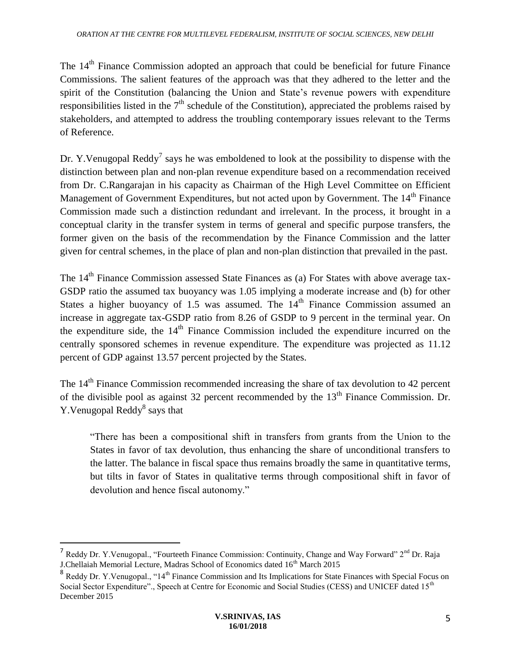The  $14<sup>th</sup>$  Finance Commission adopted an approach that could be beneficial for future Finance Commissions. The salient features of the approach was that they adhered to the letter and the spirit of the Constitution (balancing the Union and State's revenue powers with expenditure responsibilities listed in the  $7<sup>th</sup>$  schedule of the Constitution), appreciated the problems raised by stakeholders, and attempted to address the troubling contemporary issues relevant to the Terms of Reference.

Dr. Y. Venugopal Reddy<sup>7</sup> says he was emboldened to look at the possibility to dispense with the distinction between plan and non-plan revenue expenditure based on a recommendation received from Dr. C.Rangarajan in his capacity as Chairman of the High Level Committee on Efficient Management of Government Expenditures, but not acted upon by Government. The 14<sup>th</sup> Finance Commission made such a distinction redundant and irrelevant. In the process, it brought in a conceptual clarity in the transfer system in terms of general and specific purpose transfers, the former given on the basis of the recommendation by the Finance Commission and the latter given for central schemes, in the place of plan and non-plan distinction that prevailed in the past.

The 14<sup>th</sup> Finance Commission assessed State Finances as (a) For States with above average tax-GSDP ratio the assumed tax buoyancy was 1.05 implying a moderate increase and (b) for other States a higher buoyancy of 1.5 was assumed. The  $14<sup>th</sup>$  Finance Commission assumed an increase in aggregate tax-GSDP ratio from 8.26 of GSDP to 9 percent in the terminal year. On the expenditure side, the 14<sup>th</sup> Finance Commission included the expenditure incurred on the centrally sponsored schemes in revenue expenditure. The expenditure was projected as 11.12 percent of GDP against 13.57 percent projected by the States.

The 14<sup>th</sup> Finance Commission recommended increasing the share of tax devolution to 42 percent of the divisible pool as against 32 percent recommended by the  $13<sup>th</sup>$  Finance Commission. Dr. Y. Venugopal Reddy<sup>8</sup> says that

"There has been a compositional shift in transfers from grants from the Union to the States in favor of tax devolution, thus enhancing the share of unconditional transfers to the latter. The balance in fiscal space thus remains broadly the same in quantitative terms, but tilts in favor of States in qualitative terms through compositional shift in favor of devolution and hence fiscal autonomy."

 $\overline{a}$ 

<sup>&</sup>lt;sup>7</sup> Reddy Dr. Y. Venugopal., "Fourteeth Finance Commission: Continuity, Change and Way Forward" 2<sup>nd</sup> Dr. Raja J.Chellaiah Memorial Lecture, Madras School of Economics dated 16<sup>th</sup> March 2015

<sup>&</sup>lt;sup>8</sup> Reddy Dr. Y. Venugopal., "14<sup>th</sup> Finance Commission and Its Implications for State Finances with Special Focus on Social Sector Expenditure"., Speech at Centre for Economic and Social Studies (CESS) and UNICEF dated 15<sup>th</sup> December 2015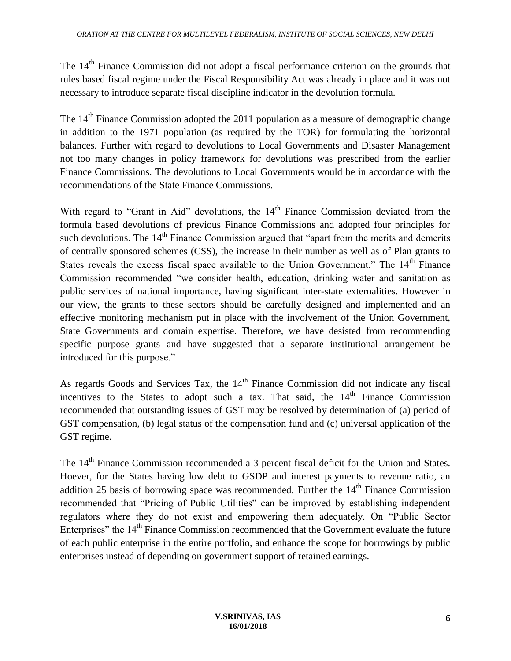The 14<sup>th</sup> Finance Commission did not adopt a fiscal performance criterion on the grounds that rules based fiscal regime under the Fiscal Responsibility Act was already in place and it was not necessary to introduce separate fiscal discipline indicator in the devolution formula.

The 14<sup>th</sup> Finance Commission adopted the 2011 population as a measure of demographic change in addition to the 1971 population (as required by the TOR) for formulating the horizontal balances. Further with regard to devolutions to Local Governments and Disaster Management not too many changes in policy framework for devolutions was prescribed from the earlier Finance Commissions. The devolutions to Local Governments would be in accordance with the recommendations of the State Finance Commissions.

With regard to "Grant in Aid" devolutions, the  $14<sup>th</sup>$  Finance Commission deviated from the formula based devolutions of previous Finance Commissions and adopted four principles for such devolutions. The 14<sup>th</sup> Finance Commission argued that "apart from the merits and demerits of centrally sponsored schemes (CSS), the increase in their number as well as of Plan grants to States reveals the excess fiscal space available to the Union Government." The 14<sup>th</sup> Finance Commission recommended "we consider health, education, drinking water and sanitation as public services of national importance, having significant inter-state externalities. However in our view, the grants to these sectors should be carefully designed and implemented and an effective monitoring mechanism put in place with the involvement of the Union Government, State Governments and domain expertise. Therefore, we have desisted from recommending specific purpose grants and have suggested that a separate institutional arrangement be introduced for this purpose."

As regards Goods and Services Tax, the  $14<sup>th</sup>$  Finance Commission did not indicate any fiscal incentives to the States to adopt such a tax. That said, the  $14<sup>th</sup>$  Finance Commission recommended that outstanding issues of GST may be resolved by determination of (a) period of GST compensation, (b) legal status of the compensation fund and (c) universal application of the GST regime.

The 14<sup>th</sup> Finance Commission recommended a 3 percent fiscal deficit for the Union and States. Hoever, for the States having low debt to GSDP and interest payments to revenue ratio, an addition 25 basis of borrowing space was recommended. Further the  $14<sup>th</sup>$  Finance Commission recommended that "Pricing of Public Utilities" can be improved by establishing independent regulators where they do not exist and empowering them adequately. On "Public Sector Enterprises" the 14<sup>th</sup> Finance Commission recommended that the Government evaluate the future of each public enterprise in the entire portfolio, and enhance the scope for borrowings by public enterprises instead of depending on government support of retained earnings.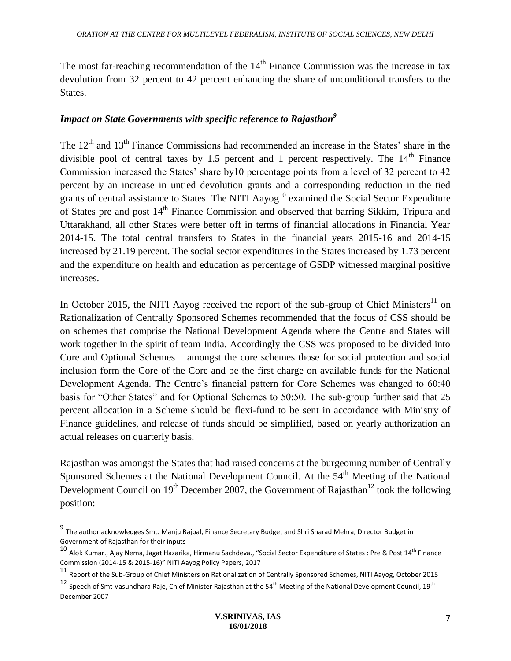The most far-reaching recommendation of the  $14<sup>th</sup>$  Finance Commission was the increase in tax devolution from 32 percent to 42 percent enhancing the share of unconditional transfers to the States.

#### *Impact on State Governments with specific reference to Rajasthan<sup>9</sup>*

The  $12<sup>th</sup>$  and  $13<sup>th</sup>$  Finance Commissions had recommended an increase in the States' share in the divisible pool of central taxes by 1.5 percent and 1 percent respectively. The  $14<sup>th</sup>$  Finance Commission increased the States' share by10 percentage points from a level of 32 percent to 42 percent by an increase in untied devolution grants and a corresponding reduction in the tied grants of central assistance to States. The NITI Aayog<sup>10</sup> examined the Social Sector Expenditure of States pre and post 14<sup>th</sup> Finance Commission and observed that barring Sikkim, Tripura and Uttarakhand, all other States were better off in terms of financial allocations in Financial Year 2014-15. The total central transfers to States in the financial years 2015-16 and 2014-15 increased by 21.19 percent. The social sector expenditures in the States increased by 1.73 percent and the expenditure on health and education as percentage of GSDP witnessed marginal positive increases.

In October 2015, the NITI Aayog received the report of the sub-group of Chief Ministers<sup>11</sup> on Rationalization of Centrally Sponsored Schemes recommended that the focus of CSS should be on schemes that comprise the National Development Agenda where the Centre and States will work together in the spirit of team India. Accordingly the CSS was proposed to be divided into Core and Optional Schemes – amongst the core schemes those for social protection and social inclusion form the Core of the Core and be the first charge on available funds for the National Development Agenda. The Centre's financial pattern for Core Schemes was changed to 60:40 basis for "Other States" and for Optional Schemes to 50:50. The sub-group further said that 25 percent allocation in a Scheme should be flexi-fund to be sent in accordance with Ministry of Finance guidelines, and release of funds should be simplified, based on yearly authorization an actual releases on quarterly basis.

Rajasthan was amongst the States that had raised concerns at the burgeoning number of Centrally Sponsored Schemes at the National Development Council. At the 54<sup>th</sup> Meeting of the National Development Council on  $19<sup>th</sup>$  December 2007, the Government of Rajasthan<sup>12</sup> took the following position:

 $\overline{a}$ 

<sup>&</sup>lt;sup>9</sup> The author acknowledges Smt. Manju Rajpal, Finance Secretary Budget and Shri Sharad Mehra, Director Budget in Government of Rajasthan for their inputs

<sup>&</sup>lt;sup>10</sup> Alok Kumar., Ajay Nema, Jagat Hazarika, Hirmanu Sachdeva., "Social Sector Expenditure of States : Pre & Post 14<sup>th</sup> Finance Commission (2014-15 & 2015-16)" NITI Aayog Policy Papers, 2017

<sup>11</sup> Report of the Sub-Group of Chief Ministers on Rationalization of Centrally Sponsored Schemes, NITI Aayog, October 2015

<sup>&</sup>lt;sup>12</sup> Speech of Smt Vasundhara Raje, Chief Minister Rajasthan at the 54<sup>th</sup> Meeting of the National Development Council, 19<sup>th</sup> December 2007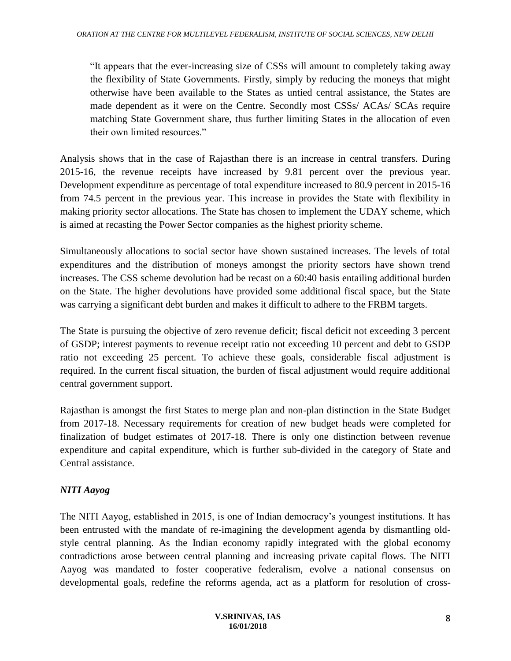"It appears that the ever-increasing size of CSSs will amount to completely taking away the flexibility of State Governments. Firstly, simply by reducing the moneys that might otherwise have been available to the States as untied central assistance, the States are made dependent as it were on the Centre. Secondly most CSSs/ ACAs/ SCAs require matching State Government share, thus further limiting States in the allocation of even their own limited resources."

Analysis shows that in the case of Rajasthan there is an increase in central transfers. During 2015-16, the revenue receipts have increased by 9.81 percent over the previous year. Development expenditure as percentage of total expenditure increased to 80.9 percent in 2015-16 from 74.5 percent in the previous year. This increase in provides the State with flexibility in making priority sector allocations. The State has chosen to implement the UDAY scheme, which is aimed at recasting the Power Sector companies as the highest priority scheme.

Simultaneously allocations to social sector have shown sustained increases. The levels of total expenditures and the distribution of moneys amongst the priority sectors have shown trend increases. The CSS scheme devolution had be recast on a 60:40 basis entailing additional burden on the State. The higher devolutions have provided some additional fiscal space, but the State was carrying a significant debt burden and makes it difficult to adhere to the FRBM targets.

The State is pursuing the objective of zero revenue deficit; fiscal deficit not exceeding 3 percent of GSDP; interest payments to revenue receipt ratio not exceeding 10 percent and debt to GSDP ratio not exceeding 25 percent. To achieve these goals, considerable fiscal adjustment is required. In the current fiscal situation, the burden of fiscal adjustment would require additional central government support.

Rajasthan is amongst the first States to merge plan and non-plan distinction in the State Budget from 2017-18. Necessary requirements for creation of new budget heads were completed for finalization of budget estimates of 2017-18. There is only one distinction between revenue expenditure and capital expenditure, which is further sub-divided in the category of State and Central assistance.

## *NITI Aayog*

The NITI Aayog, established in 2015, is one of Indian democracy's youngest institutions. It has been entrusted with the mandate of re-imagining the development agenda by dismantling oldstyle central planning. As the Indian economy rapidly integrated with the global economy contradictions arose between central planning and increasing private capital flows. The NITI Aayog was mandated to foster cooperative federalism, evolve a national consensus on developmental goals, redefine the reforms agenda, act as a platform for resolution of cross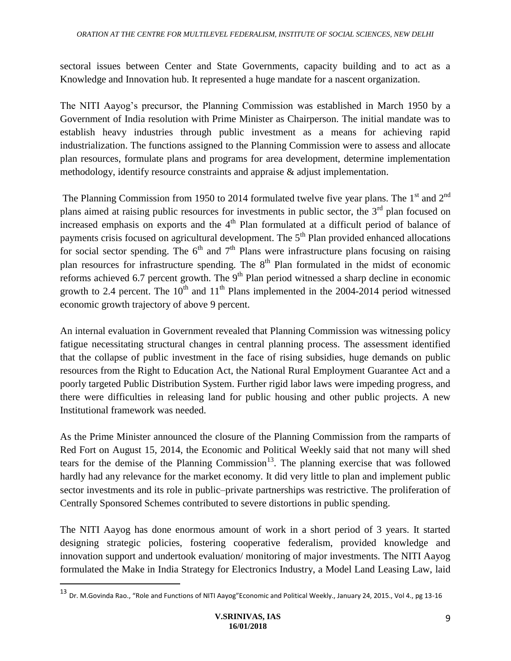sectoral issues between Center and State Governments, capacity building and to act as a Knowledge and Innovation hub. It represented a huge mandate for a nascent organization.

The NITI Aayog's precursor, the Planning Commission was established in March 1950 by a Government of India resolution with Prime Minister as Chairperson. The initial mandate was to establish heavy industries through public investment as a means for achieving rapid industrialization. The functions assigned to the Planning Commission were to assess and allocate plan resources, formulate plans and programs for area development, determine implementation methodology, identify resource constraints and appraise & adjust implementation.

The Planning Commission from 1950 to 2014 formulated twelve five year plans. The 1<sup>st</sup> and 2<sup>nd</sup> plans aimed at raising public resources for investments in public sector, the  $3<sup>rd</sup>$  plan focused on increased emphasis on exports and the  $4<sup>th</sup>$  Plan formulated at a difficult period of balance of payments crisis focused on agricultural development. The 5<sup>th</sup> Plan provided enhanced allocations for social sector spending. The  $6<sup>th</sup>$  and  $7<sup>th</sup>$  Plans were infrastructure plans focusing on raising plan resources for infrastructure spending. The  $8<sup>th</sup>$  Plan formulated in the midst of economic reforms achieved 6.7 percent growth. The  $9<sup>th</sup>$  Plan period witnessed a sharp decline in economic growth to 2.4 percent. The  $10^{th}$  and  $11^{th}$  Plans implemented in the 2004-2014 period witnessed economic growth trajectory of above 9 percent.

An internal evaluation in Government revealed that Planning Commission was witnessing policy fatigue necessitating structural changes in central planning process. The assessment identified that the collapse of public investment in the face of rising subsidies, huge demands on public resources from the Right to Education Act, the National Rural Employment Guarantee Act and a poorly targeted Public Distribution System. Further rigid labor laws were impeding progress, and there were difficulties in releasing land for public housing and other public projects. A new Institutional framework was needed.

As the Prime Minister announced the closure of the Planning Commission from the ramparts of Red Fort on August 15, 2014, the Economic and Political Weekly said that not many will shed tears for the demise of the Planning Commission<sup>13</sup>. The planning exercise that was followed hardly had any relevance for the market economy. It did very little to plan and implement public sector investments and its role in public–private partnerships was restrictive. The proliferation of Centrally Sponsored Schemes contributed to severe distortions in public spending.

The NITI Aayog has done enormous amount of work in a short period of 3 years. It started designing strategic policies, fostering cooperative federalism, provided knowledge and innovation support and undertook evaluation/ monitoring of major investments. The NITI Aayog formulated the Make in India Strategy for Electronics Industry, a Model Land Leasing Law, laid

 $\overline{a}$ 

<sup>13</sup> Dr. M.Govinda Rao., "Role and Functions of NITI Aayog"Economic and Political Weekly., January 24, 2015., Vol 4., pg 13-16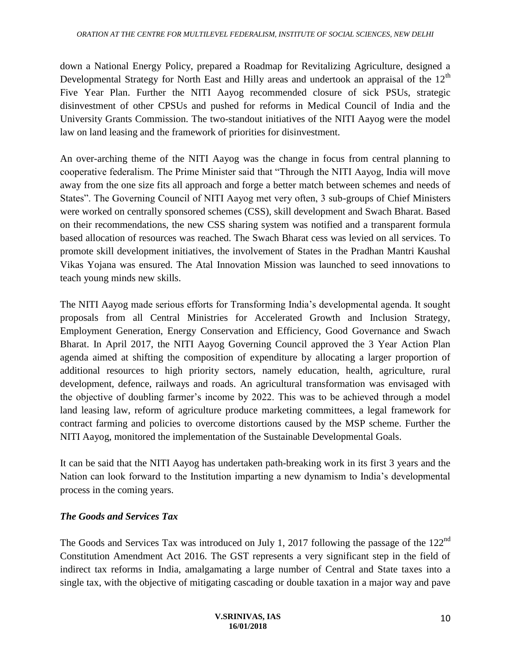down a National Energy Policy, prepared a Roadmap for Revitalizing Agriculture, designed a Developmental Strategy for North East and Hilly areas and undertook an appraisal of the 12<sup>th</sup> Five Year Plan. Further the NITI Aayog recommended closure of sick PSUs, strategic disinvestment of other CPSUs and pushed for reforms in Medical Council of India and the University Grants Commission. The two-standout initiatives of the NITI Aayog were the model law on land leasing and the framework of priorities for disinvestment.

An over-arching theme of the NITI Aayog was the change in focus from central planning to cooperative federalism. The Prime Minister said that "Through the NITI Aayog, India will move away from the one size fits all approach and forge a better match between schemes and needs of States". The Governing Council of NITI Aayog met very often, 3 sub-groups of Chief Ministers were worked on centrally sponsored schemes (CSS), skill development and Swach Bharat. Based on their recommendations, the new CSS sharing system was notified and a transparent formula based allocation of resources was reached. The Swach Bharat cess was levied on all services. To promote skill development initiatives, the involvement of States in the Pradhan Mantri Kaushal Vikas Yojana was ensured. The Atal Innovation Mission was launched to seed innovations to teach young minds new skills.

The NITI Aayog made serious efforts for Transforming India's developmental agenda. It sought proposals from all Central Ministries for Accelerated Growth and Inclusion Strategy, Employment Generation, Energy Conservation and Efficiency, Good Governance and Swach Bharat. In April 2017, the NITI Aayog Governing Council approved the 3 Year Action Plan agenda aimed at shifting the composition of expenditure by allocating a larger proportion of additional resources to high priority sectors, namely education, health, agriculture, rural development, defence, railways and roads. An agricultural transformation was envisaged with the objective of doubling farmer's income by 2022. This was to be achieved through a model land leasing law, reform of agriculture produce marketing committees, a legal framework for contract farming and policies to overcome distortions caused by the MSP scheme. Further the NITI Aayog, monitored the implementation of the Sustainable Developmental Goals.

It can be said that the NITI Aayog has undertaken path-breaking work in its first 3 years and the Nation can look forward to the Institution imparting a new dynamism to India's developmental process in the coming years.

#### *The Goods and Services Tax*

The Goods and Services Tax was introduced on July 1, 2017 following the passage of the 122<sup>nd</sup> Constitution Amendment Act 2016. The GST represents a very significant step in the field of indirect tax reforms in India, amalgamating a large number of Central and State taxes into a single tax, with the objective of mitigating cascading or double taxation in a major way and pave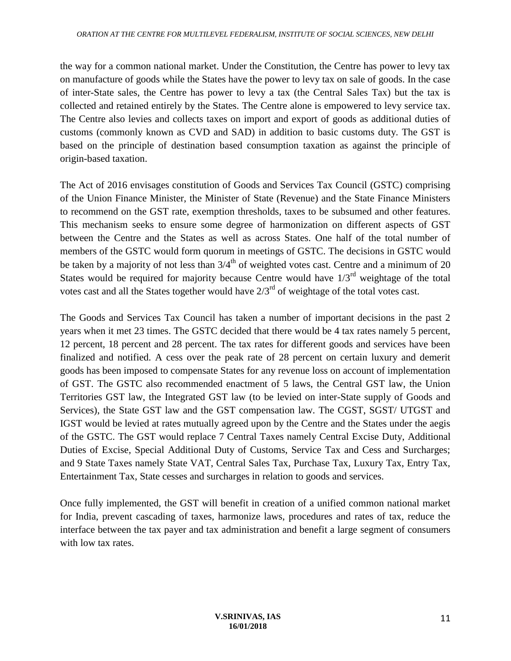the way for a common national market. Under the Constitution, the Centre has power to levy tax on manufacture of goods while the States have the power to levy tax on sale of goods. In the case of inter-State sales, the Centre has power to levy a tax (the Central Sales Tax) but the tax is collected and retained entirely by the States. The Centre alone is empowered to levy service tax. The Centre also levies and collects taxes on import and export of goods as additional duties of customs (commonly known as CVD and SAD) in addition to basic customs duty. The GST is based on the principle of destination based consumption taxation as against the principle of origin-based taxation.

The Act of 2016 envisages constitution of Goods and Services Tax Council (GSTC) comprising of the Union Finance Minister, the Minister of State (Revenue) and the State Finance Ministers to recommend on the GST rate, exemption thresholds, taxes to be subsumed and other features. This mechanism seeks to ensure some degree of harmonization on different aspects of GST between the Centre and the States as well as across States. One half of the total number of members of the GSTC would form quorum in meetings of GSTC. The decisions in GSTC would be taken by a majority of not less than  $3/4^{th}$  of weighted votes cast. Centre and a minimum of 20 States would be required for majority because Centre would have  $1/3<sup>rd</sup>$  weightage of the total votes cast and all the States together would have  $2/3^{rd}$  of weightage of the total votes cast.

The Goods and Services Tax Council has taken a number of important decisions in the past 2 years when it met 23 times. The GSTC decided that there would be 4 tax rates namely 5 percent, 12 percent, 18 percent and 28 percent. The tax rates for different goods and services have been finalized and notified. A cess over the peak rate of 28 percent on certain luxury and demerit goods has been imposed to compensate States for any revenue loss on account of implementation of GST. The GSTC also recommended enactment of 5 laws, the Central GST law, the Union Territories GST law, the Integrated GST law (to be levied on inter-State supply of Goods and Services), the State GST law and the GST compensation law. The CGST, SGST/ UTGST and IGST would be levied at rates mutually agreed upon by the Centre and the States under the aegis of the GSTC. The GST would replace 7 Central Taxes namely Central Excise Duty, Additional Duties of Excise, Special Additional Duty of Customs, Service Tax and Cess and Surcharges; and 9 State Taxes namely State VAT, Central Sales Tax, Purchase Tax, Luxury Tax, Entry Tax, Entertainment Tax, State cesses and surcharges in relation to goods and services.

Once fully implemented, the GST will benefit in creation of a unified common national market for India, prevent cascading of taxes, harmonize laws, procedures and rates of tax, reduce the interface between the tax payer and tax administration and benefit a large segment of consumers with low tax rates.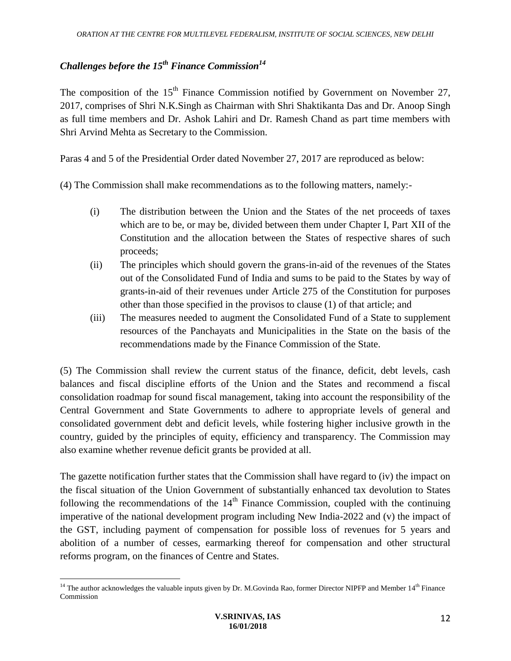# *Challenges before the 15th Finance Commission<sup>14</sup>*

The composition of the  $15<sup>th</sup>$  Finance Commission notified by Government on November 27, 2017, comprises of Shri N.K.Singh as Chairman with Shri Shaktikanta Das and Dr. Anoop Singh as full time members and Dr. Ashok Lahiri and Dr. Ramesh Chand as part time members with Shri Arvind Mehta as Secretary to the Commission.

Paras 4 and 5 of the Presidential Order dated November 27, 2017 are reproduced as below:

(4) The Commission shall make recommendations as to the following matters, namely:-

- (i) The distribution between the Union and the States of the net proceeds of taxes which are to be, or may be, divided between them under Chapter I, Part XII of the Constitution and the allocation between the States of respective shares of such proceeds;
- (ii) The principles which should govern the grans-in-aid of the revenues of the States out of the Consolidated Fund of India and sums to be paid to the States by way of grants-in-aid of their revenues under Article 275 of the Constitution for purposes other than those specified in the provisos to clause (1) of that article; and
- (iii) The measures needed to augment the Consolidated Fund of a State to supplement resources of the Panchayats and Municipalities in the State on the basis of the recommendations made by the Finance Commission of the State.

(5) The Commission shall review the current status of the finance, deficit, debt levels, cash balances and fiscal discipline efforts of the Union and the States and recommend a fiscal consolidation roadmap for sound fiscal management, taking into account the responsibility of the Central Government and State Governments to adhere to appropriate levels of general and consolidated government debt and deficit levels, while fostering higher inclusive growth in the country, guided by the principles of equity, efficiency and transparency. The Commission may also examine whether revenue deficit grants be provided at all.

The gazette notification further states that the Commission shall have regard to (iv) the impact on the fiscal situation of the Union Government of substantially enhanced tax devolution to States following the recommendations of the  $14<sup>th</sup>$  Finance Commission, coupled with the continuing imperative of the national development program including New India-2022 and (v) the impact of the GST, including payment of compensation for possible loss of revenues for 5 years and abolition of a number of cesses, earmarking thereof for compensation and other structural reforms program, on the finances of Centre and States.

 $\overline{a}$ <sup>14</sup> The author acknowledges the valuable inputs given by Dr. M.Govinda Rao, former Director NIPFP and Member  $14<sup>th</sup>$  Finance Commission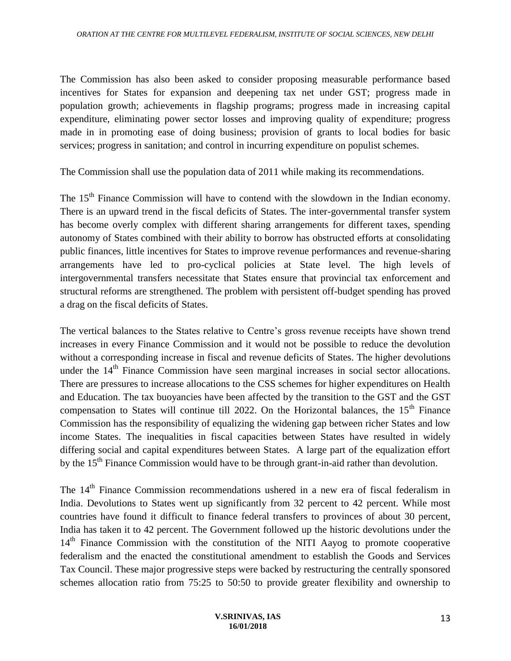The Commission has also been asked to consider proposing measurable performance based incentives for States for expansion and deepening tax net under GST; progress made in population growth; achievements in flagship programs; progress made in increasing capital expenditure, eliminating power sector losses and improving quality of expenditure; progress made in in promoting ease of doing business; provision of grants to local bodies for basic services; progress in sanitation; and control in incurring expenditure on populist schemes.

The Commission shall use the population data of 2011 while making its recommendations.

The 15<sup>th</sup> Finance Commission will have to contend with the slowdown in the Indian economy. There is an upward trend in the fiscal deficits of States. The inter-governmental transfer system has become overly complex with different sharing arrangements for different taxes, spending autonomy of States combined with their ability to borrow has obstructed efforts at consolidating public finances, little incentives for States to improve revenue performances and revenue-sharing arrangements have led to pro-cyclical policies at State level. The high levels of intergovernmental transfers necessitate that States ensure that provincial tax enforcement and structural reforms are strengthened. The problem with persistent off-budget spending has proved a drag on the fiscal deficits of States.

The vertical balances to the States relative to Centre's gross revenue receipts have shown trend increases in every Finance Commission and it would not be possible to reduce the devolution without a corresponding increase in fiscal and revenue deficits of States. The higher devolutions under the 14<sup>th</sup> Finance Commission have seen marginal increases in social sector allocations. There are pressures to increase allocations to the CSS schemes for higher expenditures on Health and Education. The tax buoyancies have been affected by the transition to the GST and the GST compensation to States will continue till 2022. On the Horizontal balances, the 15<sup>th</sup> Finance Commission has the responsibility of equalizing the widening gap between richer States and low income States. The inequalities in fiscal capacities between States have resulted in widely differing social and capital expenditures between States. A large part of the equalization effort by the 15<sup>th</sup> Finance Commission would have to be through grant-in-aid rather than devolution.

The 14<sup>th</sup> Finance Commission recommendations ushered in a new era of fiscal federalism in India. Devolutions to States went up significantly from 32 percent to 42 percent. While most countries have found it difficult to finance federal transfers to provinces of about 30 percent, India has taken it to 42 percent. The Government followed up the historic devolutions under the 14<sup>th</sup> Finance Commission with the constitution of the NITI Aayog to promote cooperative federalism and the enacted the constitutional amendment to establish the Goods and Services Tax Council. These major progressive steps were backed by restructuring the centrally sponsored schemes allocation ratio from 75:25 to 50:50 to provide greater flexibility and ownership to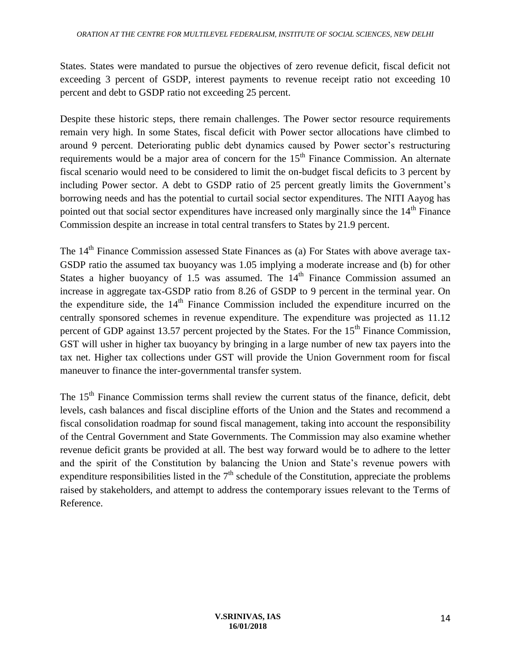States. States were mandated to pursue the objectives of zero revenue deficit, fiscal deficit not exceeding 3 percent of GSDP, interest payments to revenue receipt ratio not exceeding 10 percent and debt to GSDP ratio not exceeding 25 percent.

Despite these historic steps, there remain challenges. The Power sector resource requirements remain very high. In some States, fiscal deficit with Power sector allocations have climbed to around 9 percent. Deteriorating public debt dynamics caused by Power sector's restructuring requirements would be a major area of concern for the  $15<sup>th</sup>$  Finance Commission. An alternate fiscal scenario would need to be considered to limit the on-budget fiscal deficits to 3 percent by including Power sector. A debt to GSDP ratio of 25 percent greatly limits the Government's borrowing needs and has the potential to curtail social sector expenditures. The NITI Aayog has pointed out that social sector expenditures have increased only marginally since the  $14<sup>th</sup>$  Finance Commission despite an increase in total central transfers to States by 21.9 percent.

The 14<sup>th</sup> Finance Commission assessed State Finances as (a) For States with above average tax-GSDP ratio the assumed tax buoyancy was 1.05 implying a moderate increase and (b) for other States a higher buoyancy of 1.5 was assumed. The  $14<sup>th</sup>$  Finance Commission assumed an increase in aggregate tax-GSDP ratio from 8.26 of GSDP to 9 percent in the terminal year. On the expenditure side, the  $14<sup>th</sup>$  Finance Commission included the expenditure incurred on the centrally sponsored schemes in revenue expenditure. The expenditure was projected as 11.12 percent of GDP against 13.57 percent projected by the States. For the 15<sup>th</sup> Finance Commission, GST will usher in higher tax buoyancy by bringing in a large number of new tax payers into the tax net. Higher tax collections under GST will provide the Union Government room for fiscal maneuver to finance the inter-governmental transfer system.

The 15<sup>th</sup> Finance Commission terms shall review the current status of the finance, deficit, debt levels, cash balances and fiscal discipline efforts of the Union and the States and recommend a fiscal consolidation roadmap for sound fiscal management, taking into account the responsibility of the Central Government and State Governments. The Commission may also examine whether revenue deficit grants be provided at all. The best way forward would be to adhere to the letter and the spirit of the Constitution by balancing the Union and State's revenue powers with expenditure responsibilities listed in the  $7<sup>th</sup>$  schedule of the Constitution, appreciate the problems raised by stakeholders, and attempt to address the contemporary issues relevant to the Terms of Reference.